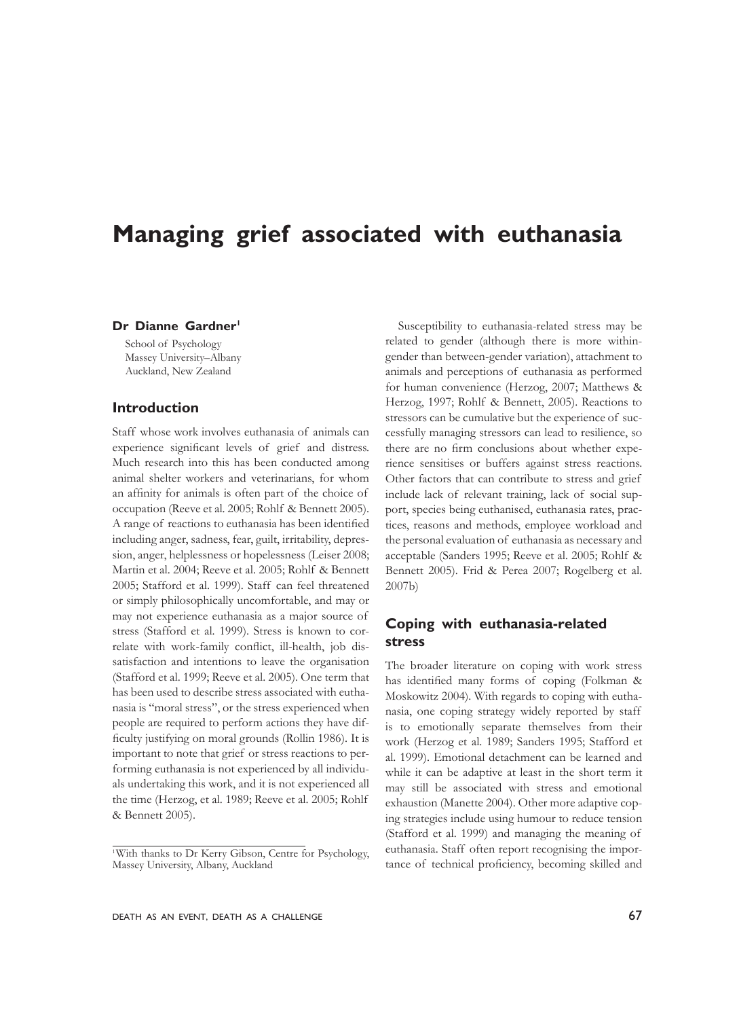# **Managing grief associated with euthanasia**

#### Dr Dianne Gardner<sup>1</sup>

School of Psychology Massey University–Albany Auckland, New Zealand

## **Introduction**

Staff whose work involves euthanasia of animals can experience significant levels of grief and distress. Much research into this has been conducted among animal shelter workers and veterinarians, for whom an affinity for animals is often part of the choice of occupation (Reeve et al. 2005; Rohlf & Bennett 2005). A range of reactions to euthanasia has been identified including anger, sadness, fear, guilt, irritability, depression, anger, helplessness or hopelessness (Leiser 2008; Martin et al. 2004; Reeve et al. 2005; Rohlf & Bennett 2005; Stafford et al. 1999). Staff can feel threatened or simply philosophically uncomfortable, and may or may not experience euthanasia as a major source of stress (Stafford et al. 1999). Stress is known to correlate with work-family conflict, ill-health, job dissatisfaction and intentions to leave the organisation (Stafford et al. 1999; Reeve et al. 2005). One term that has been used to describe stress associated with euthanasia is "moral stress", or the stress experienced when people are required to perform actions they have difficulty justifying on moral grounds (Rollin 1986). It is important to note that grief or stress reactions to performing euthanasia is not experienced by all individuals undertaking this work, and it is not experienced all the time (Herzog, et al. 1989; Reeve et al. 2005; Rohlf & Bennett 2005).

Susceptibility to euthanasia-related stress may be related to gender (although there is more withingender than between-gender variation), attachment to animals and perceptions of euthanasia as performed for human convenience (Herzog, 2007; Matthews & Herzog, 1997; Rohlf & Bennett, 2005). Reactions to stressors can be cumulative but the experience of successfully managing stressors can lead to resilience, so there are no firm conclusions about whether experience sensitises or buffers against stress reactions. Other factors that can contribute to stress and grief include lack of relevant training, lack of social support, species being euthanised, euthanasia rates, practices, reasons and methods, employee workload and the personal evaluation of euthanasia as necessary and acceptable (Sanders 1995; Reeve et al. 2005; Rohlf & Bennett 2005). Frid & Perea 2007; Rogelberg et al. 2007b)

# **Coping with euthanasia-related stress**

The broader literature on coping with work stress has identified many forms of coping (Folkman & Moskowitz 2004). With regards to coping with euthanasia, one coping strategy widely reported by staff is to emotionally separate themselves from their work (Herzog et al. 1989; Sanders 1995; Stafford et al. 1999). Emotional detachment can be learned and while it can be adaptive at least in the short term it may still be associated with stress and emotional exhaustion (Manette 2004). Other more adaptive coping strategies include using humour to reduce tension (Stafford et al. 1999) and managing the meaning of euthanasia. Staff often report recognising the importance of technical proficiency, becoming skilled and

<sup>1</sup>With thanks to Dr Kerry Gibson, Centre for Psychology, Massey University, Albany, Auckland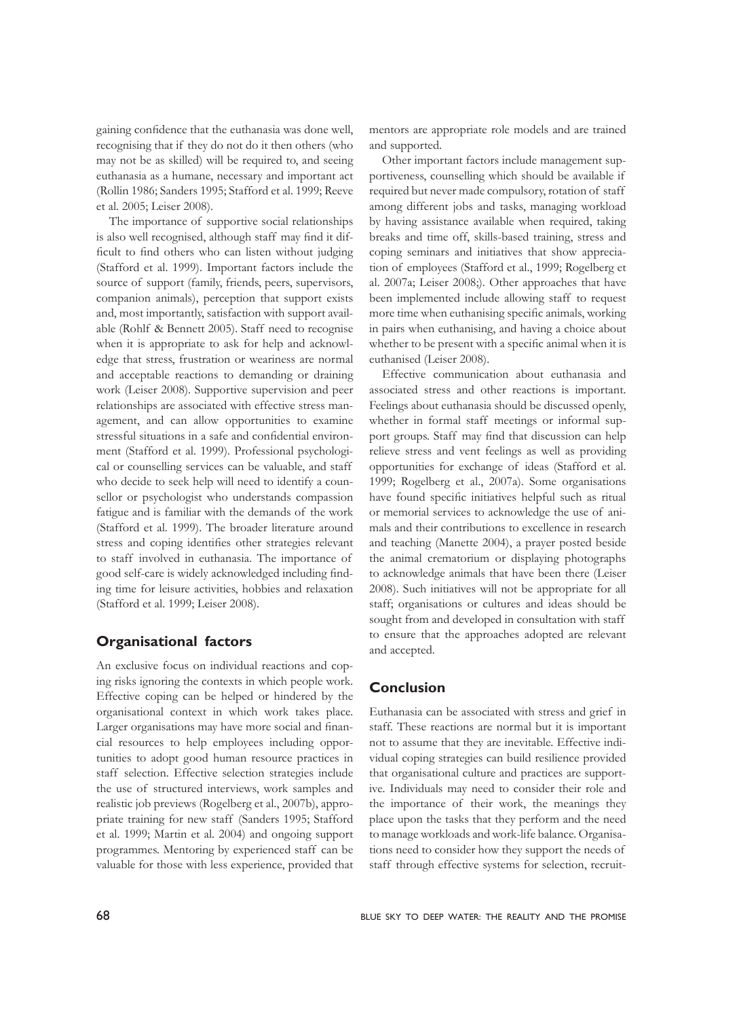gaining confidence that the euthanasia was done well, recognising that if they do not do it then others (who may not be as skilled) will be required to, and seeing euthanasia as a humane, necessary and important act (Rollin 1986; Sanders 1995; Stafford et al. 1999; Reeve et al. 2005; Leiser 2008).

The importance of supportive social relationships is also well recognised, although staff may find it difficult to find others who can listen without judging (Stafford et al. 1999). Important factors include the source of support (family, friends, peers, supervisors, companion animals), perception that support exists and, most importantly, satisfaction with support available (Rohlf & Bennett 2005). Staff need to recognise when it is appropriate to ask for help and acknowledge that stress, frustration or weariness are normal and acceptable reactions to demanding or draining work (Leiser 2008). Supportive supervision and peer relationships are associated with effective stress management, and can allow opportunities to examine stressful situations in a safe and confidential environment (Stafford et al. 1999). Professional psychological or counselling services can be valuable, and staff who decide to seek help will need to identify a counsellor or psychologist who understands compassion fatigue and is familiar with the demands of the work (Stafford et al. 1999). The broader literature around stress and coping identifies other strategies relevant to staff involved in euthanasia. The importance of good self-care is widely acknowledged including finding time for leisure activities, hobbies and relaxation (Stafford et al. 1999; Leiser 2008).

## **Organisational factors**

An exclusive focus on individual reactions and coping risks ignoring the contexts in which people work. Effective coping can be helped or hindered by the organisational context in which work takes place. Larger organisations may have more social and financial resources to help employees including opportunities to adopt good human resource practices in staff selection. Effective selection strategies include the use of structured interviews, work samples and realistic job previews (Rogelberg et al., 2007b), appropriate training for new staff (Sanders 1995; Stafford et al. 1999; Martin et al. 2004) and ongoing support programmes. Mentoring by experienced staff can be valuable for those with less experience, provided that

mentors are appropriate role models and are trained and supported.

Other important factors include management supportiveness, counselling which should be available if required but never made compulsory, rotation of staff among different jobs and tasks, managing workload by having assistance available when required, taking breaks and time off, skills-based training, stress and coping seminars and initiatives that show appreciation of employees (Stafford et al., 1999; Rogelberg et al. 2007a; Leiser 2008;). Other approaches that have been implemented include allowing staff to request more time when euthanising specific animals, working in pairs when euthanising, and having a choice about whether to be present with a specific animal when it is euthanised (Leiser 2008).

Effective communication about euthanasia and associated stress and other reactions is important. Feelings about euthanasia should be discussed openly, whether in formal staff meetings or informal support groups. Staff may find that discussion can help relieve stress and vent feelings as well as providing opportunities for exchange of ideas (Stafford et al. 1999; Rogelberg et al., 2007a). Some organisations have found specific initiatives helpful such as ritual or memorial services to acknowledge the use of animals and their contributions to excellence in research and teaching (Manette 2004), a prayer posted beside the animal crematorium or displaying photographs to acknowledge animals that have been there (Leiser 2008). Such initiatives will not be appropriate for all staff; organisations or cultures and ideas should be sought from and developed in consultation with staff to ensure that the approaches adopted are relevant and accepted.

## **Conclusion**

Euthanasia can be associated with stress and grief in staff. These reactions are normal but it is important not to assume that they are inevitable. Effective individual coping strategies can build resilience provided that organisational culture and practices are supportive. Individuals may need to consider their role and the importance of their work, the meanings they place upon the tasks that they perform and the need to manage workloads and work-life balance. Organisations need to consider how they support the needs of staff through effective systems for selection, recruit